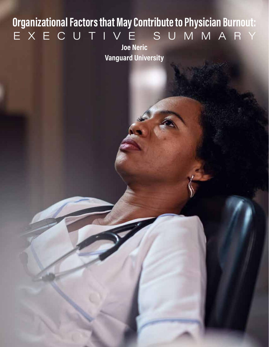# **Organizational Factors that May Contribute to Physician Burnout:**  EXECUTIVE SUMMARY

**Joe Neric Vanguard University**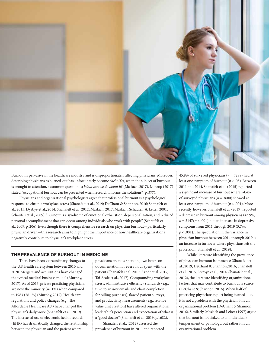

Burnout is pervasive in the healthcare industry and is disproportionately affecting physicians. Moreover, describing physicians as burned-out has unfortunately become *cliché*. Yet, when the subject of burnout is brought to attention, a common question is; *What can we do about it?* (Maslach, 2017). Lathrop (2017) stated, "occupational burnout can be prevented when research informs the solutions" (p. 377).

Physicians and organizational psychologists agree that professional burnout is a psychological response to chronic workplace stress (Shanafelt et al., 2019; DeChant & Shannon, 2016; Shanafelt et al., 2015; Dyrbye et al., 2014; Shanafelt et al., 2012; Maslach, 2017; Maslach, Schaufeli, & Leiter, 2001; Schaufeli et al., 2009). "Burnout is a syndrome of emotional exhaustion, depersonalization, and reduced personal accomplishment that can occur among individuals who work with people" (Schaufeli et al., 2009, p. 206). Even though there is comprehensive research on physician burnout—particularly physician driven—this research aims to highlight the importance of how healthcare organizations negatively contribute to physician's workplace stress.

#### **THE PREVALENCE OF BURNOUT IN MEDICINE**

There have been extraordinary changes to the U.S. health care system between 2010 and 2020. Mergers and acquisitions have changed the typical medical business model (Murphy, 2017). As of 2016, private practicing physicians are now the minority (47.1%) when compared to 1983 (76.1%) (Murphy, 2017). Health care regulations and policy changes (e.g., The Affordable Healthcare Act) have changed the physician's daily work (Shanafelt et al., 2019). The increased use of electronic health records (EHR) has dramatically changed the relationship between the physician and the patient where

physicians are now spending two hours on documentation for every hour spent with the patient (Shanafelt et al. 2019; Arndt et al. 2017; Tai-Seale et al., 2017). Compounding workplace stress, administrative efficiency standards (e.g., time to answer emails and chart completion for billing purposes), flawed patient surveys, and productivity measurements (e.g., relative value unit creation) have altered organizational leadership's perception and expectation of what is a "good doctor" (Shanafelt et al., 2019, p.1682). Shanafelt et al., (2012) assessed the prevalence of burnout in 2011 and reported

45.8% of surveyed physicians ( $n = 7288$ ) had at least one symptom of burnout (*p* < .05). Between 2011 and 2014, Shanafelt et al. (2015) reported a significant increase of burnout where 54.4% of surveyed physicians (*n* = 3680) showed at least one symptom of burnout (*p* < .001). More recently, however, Shanafelt et al. (2019) reported a decrease in burnout among physicians (43.9%;  $n = 2147$ ;  $p < .001$ ) but an increase in depressive symptoms from 2011 through 2019 (5.7%; *p* < .001). The speculation in the variance in physician burnout between 2014 through 2019 is an increase in turnover where physicians left the profession (Shanafelt et al., 2019).

While literature identifying the prevalence of physician burnout is immense (Shanafelt et al., 2019; DeChant & Shannon, 2016; Shanafelt et al., 2015; Dyrbye et al., 2014; Shanafelt et al., 2012), the literature identifying organizational factors that may contribute to burnout is scarce (DeChant & Shannon, 2016). When half of practicing physicians report being burned-out, it is not a problem with the physician; it is an organizational problem (DeChant & Shannon, 2016). Similarly, Maslach and Leiter (1997) argue that burnout is not linked to an individual's temperament or pathology, but rather it is an organizational problem.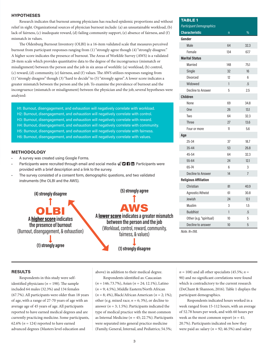#### **HYPOTHESES**

Research indicates that burnout among physicians has reached epidemic proportions and without relief in sight. Organizational sources of physician burnout include: (a) an unsustainable workload, (b) lack of fairness, (c) inadequate reward, (d) failing community support, (e) absence of fairness, and (f) mismatch in values.

The Oldenburg Burnout Inventory (OLBI) is a 16-item validated scale that measures perceived burnout from participant responses ranging from (1) "strongly agree though (4) "strongly disagree." A higher score indicates the presence of burnout. The Areas of Worklife Survey (AWS) is a validated 28-item scale which provides quantitative data to the degree of the incongruence (mismatch or misalignment) between the person and the job in six areas of worklife: (a) workload, (b) control, (c) reward, (d) community, (e) fairness, and (f) values. The AWS utilizes responses ranging from (1) "strongly disagree" though (3) "hard to decide" to (5) "strongly agree". A lower score indicates a greater mismatch between the person and the job. To examine the prevalence of burnout and the incongruence (mismatch or misalignment) between the physician and the job, several hypotheses were analyzed:

H1: Burnout, disengagement, and exhaustion will negatively correlate with workload. H2: Burnout, disengagement, and exhaustion will negatively correlate with control. H3: Burnout, disengagement, and exhaustion will negatively correlate with reward. H4: Burnout, disengagement, and exhaustion will negatively correlate with community. H5: Burnout, disengagement, and exhaustion will negatively correlate with fairness.

H6: Burnout, disengagement, and exhaustion will negatively correlate with values.

#### **METHODOLOGY**

• A survey was created using Google Forms.

**(4) strongly disagree**

- Participants were recruited through email and social media  $\mathcal{D} \mathbf{\Omega} \mathbf{\Omega}$ . Participants were provided with a brief description and a link to the survey.
- The survey consisted of a consent form, demographic questions, and two validated instruments (the OLBI and the AWS).

Î OLBI **A** higher score **indicates the presence of burnout** (Burnout, disengagement, & exhaustion)  $\pmb{\downarrow}$ **(1) strongly agree**

**(5) strongly agree**



**between the person and the job** (Workload, control, reward, community, fairness, & values)



#### **RESULTS**

Respondents in this study were selfidentified physicians ( $n = 198$ ). The sample included 64 males (32.3%) and 134 females (67.7%). All participants were older than 18 years of age, with a range of 27-70 years of age with an average age of 45 years of age. All participants reported to have earned medical degrees and are currently practicing medicine. Some participants, 62.6% ( $n = 124$ ) reported to have earned advanced degrees (Masters level education and

above) in addition to their medical degree.

Respondents identified as: Caucasian (*n* = 146; 73.7%), Asian (*n* = 24; 12.1%), Latino (*n* = 9; 4.5%), Middle Eastern/North African (*n* = 8; 4%), Black/African American (*n* = 2; 1%); other (e.g. mixed race;  $n = 6$ ; 3%), or decline to answer ( $n = 3$ ; 1.5%). Participants indicated the type of medical practice with the most common as Internal Medicine (*n* = 45; 22.7%). Participants were separated into general practice medicine (Family, General, Internal, and Pediatrics; 54.5%;

| <b>TABLE1</b>                   |              |                |
|---------------------------------|--------------|----------------|
| <b>Participant Demographics</b> |              |                |
| <b>Characteristic</b>           | $\mathsf{n}$ | $\frac{0}{0}$  |
| Gender                          |              |                |
| Male                            | 64           | 32.3           |
| Female                          | 134          | 67.7           |
| <b>Marital Status</b>           |              |                |
| Married                         | 148          | 75.1           |
| Single                          | 32           | 16             |
| Divorced                        | 12           | 6              |
| Widowed                         | $\mathbf{1}$ | .5             |
| <b>Decline to Answer</b>        | 5            | 2.5            |
| <b>Children</b>                 |              |                |
| None                            | 69           | 34.8           |
| <b>One</b>                      | 26           | 13.1           |
| Two                             | 64           | 32.3           |
| <b>Three</b>                    | 27           | 13.6           |
| Four or more                    | 11           | 5.6            |
| Age                             |              |                |
| 25-34                           | 37           | 18.7           |
| 35-44                           | 53           | 26.8           |
| 45-54                           | 64           | 32.3           |
| 55-64                           | 24           | 12.1           |
| 65-74                           | 6            | 3              |
| <b>Decline to Answer</b>        | 14           | $\overline{7}$ |
| <b>Religious Affiliation</b>    |              |                |
| Christian                       | 81           | 40.9           |
| Agnostic/Atheist                | 61           | 30.8           |
| Jewish                          | 24           | 12.1           |
| Muslim                          | 3            | 1.5            |
| <b>Buddhist</b>                 | $\mathbf{1}$ | .5             |
| Other (e.g. "spiritual)         | 10           | 5              |
| Decline to answer               | 10           | 5              |

*Note. N=198.*

 $n = 108$ ) and all other specialists (45.5%;  $n =$ 90) and no significant correlations were found which is contradictory to the current research (DeChant & Shannon, 2016). Table 1 displays the participant demographics.

Respondents indicated hours worked in a week ranged from 15-112 hours, with an average of 52.78 hours per week, and with 60 hours per week as the most common report ( $n = 41$ ; 20.7%). Participants indicated on how they were paid as: salary ( $n = 92$ ; 46.5%) and salary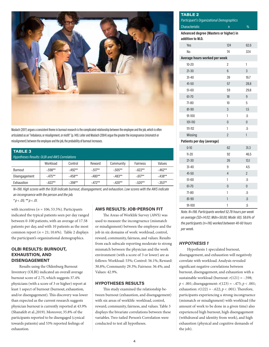

Maslach (2017) argues a consistent theme in burnout research is the complicated relationship between the employee and the job, which is often articulated as an "imbalance, or misalignment, or misfit" (p. 149). Leiter and Maslach (2004) argue the greater the incongruence (mismatch or misalignment) between the employee and the job, the probability of burnout increases.

| <b>TABLE 3</b><br><b>Hypotheses Results: OLBI and AWS Correlations</b> |           |           |           |           |           |           |  |  |  |
|------------------------------------------------------------------------|-----------|-----------|-----------|-----------|-----------|-----------|--|--|--|
|                                                                        | Workload  | Control   | Reward    | Community | Fairness  | Values    |  |  |  |
| Burnout                                                                | $-.598**$ | $-492**$  | $-.517**$ | $-.505**$ | $-.622**$ | $-.462**$ |  |  |  |
| Disengagement                                                          | $-475**$  | $-458**$  | $-480**$  | $-483**$  | $-.617**$ | $-438**$  |  |  |  |
| Exhaustion                                                             | $-622**$  | $-.398**$ | $-.472**$ | $-.420**$ | $-.520**$ | $-.353**$ |  |  |  |

*N=198. High scores with the OLBI indicate burnout, disengagement, and exhaustion. Low scores with the AWS indicate an incongruence with the person and the job.*

*\* p < .05; \*\* p < .01.*

with incentives ( $n = 106$ ; 53.5%). Participants indicated the typical patients seen per day ranged between 0-100 patients, with an average of 17.58 patients per day, and with 10 patients as the most common report ( $n = 21$ ; 10.6%). Table 2 displays the participant's organizational demographics.

#### **OLBI RESULTS: BURNOUT, EXHAUSTION, AND DISENGAGEMENT**

Results using the Oldenburg Burnout Inventory (OLBI) indicated an overall average burnout score of 2.75, which suggests 37.4% physicians (with a score of 3 or higher) report at least 1 aspect of burnout (burnout, exhaustion, and/or disengagement). This discovery was lower than expected as the current research suggests physician burnout is currently reported at 43.9% (Shanafelt et al.,2019). Moreover, 35.8% of the participants reported to be disengaged (cynical towards patients) and 53% reported feelings of exhaustion.

## **AWS RESULTS: JOB-PERSON FIT**

The Areas of Worklife Survey (AWS) was used to measure the incongruence (mismatch or misalignment) between the employee and the job in six domains of work: workload, control, reward, community, fairness, and values. Results from each subscale reporting moderate to strong mismatch between the physician and the work environment (with a score of 3 or lower) are as follows: Workload: 53%; Control: 56.1%; Reward: 30.8%; Community 29.3%; Fairness: 36.4%; and Values: 42.9%.

#### **HYPOTHESES RESULTS**

This study examined the relationship between burnout (exhaustion, and disengagement) with six areas of worklife: workload, control, reward, community, fairness, and values. Table 3 displays the bivariate correlations between these variables. Two-tailed Person's Correlation were conducted to test all hypotheses.

## **TABLE 2** *Participant's Organizational Demographics* Characteristic n % **Advanced degree (Masters or higher) in addition to M.D.** Yes 124 62.6 No 74 37.4 **Average hours worked per week** 10-20 2 1 21-30 6 3 31-40 39 19.7 41-50 57 28.8 51-60 59 29.8 61-70 18 9 71-80 10 5 81-90 3 1.5 91-100 1 .5 101-110 0 0 0  $111-112$  .5 Missing 2 1 **Patients per day (average)** 0-10 62 31.3 11-20 92 46.5 21-30 26 13.1 31-40 9 4.5 41-50 4 2 51-60 1 .5 61-70 0 0 71-80 1 .5 81-90 **1** .5 91-100 1 .5

*Note. N=198. Participants worked 52.78 hours per week on average (SD=14.112; Mdn=50.00; Mode: 60). 58.6% of the participants (n=116) worked between 40-60 hours per week.* 

## *HYPOTHESIS 1*

Hypothesis 1 speculated burnout, disengagement, and exhaustion will negatively correlate with workload. Analysis revealed significant negative correlations between burnout, disengagement, and exhaustion with a sustainable workload (burnout: *r*(121) = -.598; *p* < .001; disengagement: *r*(123) = -.475; *p* < .001; exhaustion:  $r(122) = -.622; p < .001$ ). Therefore, participants experiencing a strong incongruence (mismatch or misalignment) with workload (the amount of work to be done in a given time) also experienced high burnout, high disengagement (withdrawal and identity from work), and high exhaustion (physical and cognitive demands of the job).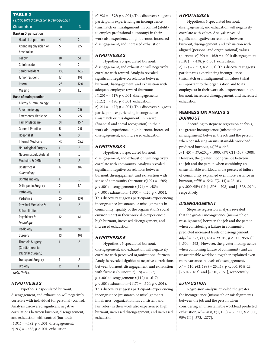| <b>TABLE 2</b>                            |                |                |  |  |  |  |  |
|-------------------------------------------|----------------|----------------|--|--|--|--|--|
| Participant's Organizational Demographics |                |                |  |  |  |  |  |
| <b>Characteristic</b>                     | n              | %              |  |  |  |  |  |
| <b>Rank in Organization</b>               |                |                |  |  |  |  |  |
| Head of department                        | 4              | $\overline{2}$ |  |  |  |  |  |
| Attending physician or<br>hospitalist     | 5              | 2.5            |  |  |  |  |  |
| Fellow                                    | 10             | 5.1            |  |  |  |  |  |
| Chief resident                            | 4              | 2              |  |  |  |  |  |
| Senior resident                           | 130            | 65.7           |  |  |  |  |  |
| Junior resident                           | 17             | 8.6            |  |  |  |  |  |
| Intern                                    | 25             | 12.6           |  |  |  |  |  |
| Missing                                   | 3              | 1.5            |  |  |  |  |  |
| <b>Base of main practice</b>              |                |                |  |  |  |  |  |
| Allergy & Immunology                      | 1              | .5             |  |  |  |  |  |
| Anesthesiology                            | 5              | 2.5            |  |  |  |  |  |
| <b>Emergency Medicine</b>                 | 5              | 2.5            |  |  |  |  |  |
| <b>Family Medicine</b>                    | 31             | 15.7           |  |  |  |  |  |
| <b>General Practice</b>                   | 5              | 2.5            |  |  |  |  |  |
| Hospitalist                               | 6              | 3              |  |  |  |  |  |
| Internal Medicine                         | 45             | 22.7           |  |  |  |  |  |
| Neurological Surgery                      | 1              | .5             |  |  |  |  |  |
| Neuromusculoskeletal                      | 1              | .5             |  |  |  |  |  |
| Medicine & OMM                            | 1              | .5             |  |  |  |  |  |
| Obstetrics &<br>Gynecology                | 17             | 8.6            |  |  |  |  |  |
| Ophthalmology                             | 1              | .5             |  |  |  |  |  |
| Orthopedic Surgery                        | 2              | 1.0            |  |  |  |  |  |
| Pathology                                 | $\mathbf{1}$   | $\overline{5}$ |  |  |  |  |  |
| Pediatrics                                | 27             | 13.6           |  |  |  |  |  |
| Physical Medicine &<br>Rehabilitation     | 1              | .5             |  |  |  |  |  |
| Psychiatry &<br>Neurology                 | 12             | 6.1            |  |  |  |  |  |
| Radiology                                 | 18             | 9.1            |  |  |  |  |  |
| Surgery                                   | 13             | 6.6            |  |  |  |  |  |
| <b>Thoracic Surgery</b>                   | 1              | $.5\,$         |  |  |  |  |  |
| (Cardiothoracic                           |                |                |  |  |  |  |  |
| Vascular Surgery)                         |                |                |  |  |  |  |  |
| <b>Transplant Surgery</b>                 | 1              | $.5\,$         |  |  |  |  |  |
| Urology                                   | $\overline{2}$ | 1              |  |  |  |  |  |
| Note. N=198.                              |                |                |  |  |  |  |  |

#### *HYPOTHESIS 2*

Hypothesis 2 speculated burnout, disengagement, and exhaustion will negatively correlate with individual (or personal) control. Analysis discovered significant negative correlations between burnout, disengagement, and exhaustion with control (burnout: *r*(191) = -.492; *p* < .001; disengagement:  $r(193) = -.458; p < .001;$  exhaustion:

 $r(192) = -.398; p < .001$ . This discovery suggests participants experiencing an incongruence (mismatch or misalignment) in control (ability to employ professional autonomy) in their work also experienced high burnout, increased disengagement, and increased exhaustion.

#### *HYPOTHESIS 3*

Hypothesis 3 speculated burnout, disengagement, and exhaustion will negatively correlate with reward. Analysis revealed significant negative correlations between burnout, disengagement, and exhaustion with adequate employer reward (burnout:  $r(120) = -.517; p < .001;$  disengagement: *r*(122) = -.480; *p* < .001; exhaustion:  $r(121) = -.472; p < .001$ ). This discovery suggests participants experiencing incongruence (mismatch or misalignment) in reward (financial and social recognition) in their work also experienced high burnout, increased disengagement, and increased exhaustion.

#### *HYPOTHESIS 4*

Hypothesis 4 speculated burnout, disengagement, and exhaustion will negatively correlate with community. Analysis revealed significant negative correlations between burnout, disengagement, and exhaustion with sense of community (burnout: *r*(192) = -.505; *p* < .001; disengagement: *r*(194) = -.483; *p* < .001; exhaustion: *r*(193) = -.420; *p* < .001). This discovery suggests participants experiencing incongruence (mismatch or misalignment) in community (quality of the organization's social environment) in their work also experienced high burnout, increased disengagement, and increased exhaustion.

#### *HYPOTHESIS 5*

Hypothesis 5 speculated burnout, disengagement, and exhaustion will negatively correlate with perceived organizational fairness. Analysis revealed significant negative correlations between burnout, disengagement, and exhaustion with fairness (burnout:  $r(118) = -.622$ ;  $p < .001$ ; disengagement:  $r(117) = -.617$ ; *p* < .001; exhaustion: *r*(117) = -.520; *p* < .001). This discovery suggests participants experiencing incongruence (mismatch or misalignment) in fairness (organization has consistent and fair rules) in their work also experienced high burnout, increased disengagement, and increased exhaustion.

## *HYPOTHESIS 6*

Hypothesis 6 speculated burnout, disengagement, and exhaustion will negatively correlate with values. Analysis revealed significant negative correlations between burnout, disengagement, and exhaustion with aligned (personal and organizational) values (burnout:  $r(190) = -.462; p < .001;$  disengagement: *r*(192) = -.438; *p* < .001; exhaustion:  $r(117) = -.353; p < .001$ . This discovery suggests participants experiencing incongruence (mismatch or misalignment) in values (what is important to the organization and to its employees) in their work also experienced high burnout, increased disengagement, and increased exhaustion.

#### **REGRESSION ANALYSIS** *BURNOUT*

According to stepwise regression analysis, the greater incongruence (mismatch or misalignment) between the job and the person when considering an unsustainable workload predicted burnout, *adjR2* = .443,  $F(1, 45) = 37.620, p < .000, 95\%$  CI [-.609, -.308]. However, the greater incongruence between the job and the person when combining an unsustainable workload and a perceived failure of community, explained even more variance in burnout, *adjR2* = .542, *F*(2, 44) = 28.183, *p* < .000, 95% CIs [-.508, -.208], and [-.378, .090], respectively.

#### *DISENGAGEMENT*

Stepwise regression analysis revealed that the greater incongruence (mismatch or misalignment) between the job and the person when considering a failure in community predicted increased levels of disengagement, *adjR2* = .373, *F*(1, 46) = 29.019, *p* < .000, 95% CI [-.504, -.292]. However, the greater incongruence when combining failure of community and an unsustainable workload together explained even more variance in levels of disengagement, *R2* = .510, *F*(2, 198) = 25.459, *p* <. 000, 95% CI [-.504, -.163], and [-.510, -.151], respectively.

#### *EXHAUSTION*

Regression analysis revealed the greater the incongruence (mismatch or misalignment) between the job and the person when considering an unsustainable workload predicted exhaustion,  $R^2 = .408$ ,  $F(1, 198) = 33.327$ ,  $p < .000$ , 95% CI [-.573, -.277].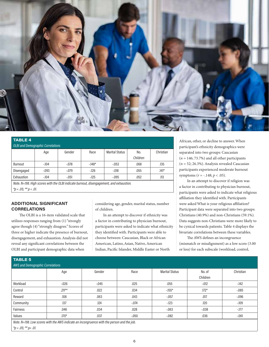

| <b>TABLE 4</b>                           |          |         |         |                       |          |           |  |  |  |
|------------------------------------------|----------|---------|---------|-----------------------|----------|-----------|--|--|--|
| <b>OLBI and Demographic Correlations</b> |          |         |         |                       |          |           |  |  |  |
|                                          | Age      | Gender  | Race    | <b>Marital Status</b> | No.      | Christian |  |  |  |
|                                          |          |         |         |                       | Children |           |  |  |  |
| Burnout                                  | $-104$   | $-.078$ | $-148*$ | $-0.053$              | .068     | .135      |  |  |  |
| Disengaged                               | $-0.093$ | $-.079$ | $-126$  | $-.018$               | .055     | $.141*$   |  |  |  |
| Exhaustion                               | $-104$   | $-.051$ | $-125$  | $-0.095$              | .052     | .113      |  |  |  |

*Note. N=198. High scores with the OLBI indicate burnout, disengagement, and exhaustion. \*p < .05; \*\* p < .01.* 

#### **ADDITIONAL SIGNIFICANT CORRELATIONS**

The OLBI is a 16-item validated scale that utilizes responses ranging from (1) "strongly agree though (4) "strongly disagree." Scores of three or higher indicate the presence of burnout, disengagement, and exhaustion. Analysis did not reveal any significant correlations between the OLBI and participant demographic data when

considering age, gender, marital status, number of children.

In an attempt to discover if ethnicity was a factor in contributing to physician burnout, participants were asked to indicate what ethnicity they identified with. Participants were able to choose between: Caucasian, Black or African American, Latino, Asian, Native, American Indian, Pacific Islander, Middle Easter or North

African, other, or decline to answer. When participant's ethnicity demographics were separated into two groups: Caucasian  $(n = 146; 73.7%)$  and all other participants (*n* = 52; 26.3%). Analysis revealed Caucasian participants experienced moderate burnout symptoms ( $r = -.148; p < .05$ ).

In an attempt to discover if religion was a factor in contributing to physician burnout, participants were asked to indicate what religious affiliation they identified with. Participants were asked What is your religious affiliation? Participant data were separated into two groups: Christians (40.9%) and non-Christians (59.1%). Data suggests non-Christians were more likely to be cynical towards patients. Table 4 displays the bivariate correlations between these variables.

The AWS defines an incongruence (mismatch or misalignment) as a low score (3.00 or less) for each subscale (workload, control,

| <b>TABLE 5</b>                                                                             |           |          |          |                       |          |           |  |  |  |  |
|--------------------------------------------------------------------------------------------|-----------|----------|----------|-----------------------|----------|-----------|--|--|--|--|
| AWS and Demographic Correlations                                                           |           |          |          |                       |          |           |  |  |  |  |
|                                                                                            | Age       | Gender   | Race     | <b>Marital Status</b> | No. of   | Christian |  |  |  |  |
|                                                                                            |           |          |          |                       | Children |           |  |  |  |  |
| Workload                                                                                   | $-0.026$  | $-0.045$ | .025     | .055                  | $-.012$  | $-142$    |  |  |  |  |
| Control                                                                                    | $.211***$ | .022     | .034     | $-155*$               | $.172*$  | $-0.085$  |  |  |  |  |
| Reward                                                                                     | .108      | .063     | .043     | $-.057$               | .017     | $-0.96$   |  |  |  |  |
| Community                                                                                  | .137      | .124     | $-.074$  | $-123$                | .120     | $-109$    |  |  |  |  |
| Fairness                                                                                   | .046      | .034     | .028     | $-063$                | $-0.038$ | $-177$    |  |  |  |  |
| Values                                                                                     | $.170*$   | .037     | $-0.050$ | $-0.082$              | .036     | $-.061$   |  |  |  |  |
| Note. N=198. Low scores with the AWS indicate an incongruence with the person and the job. |           |          |          |                       |          |           |  |  |  |  |

*\*p < .05; \*\* p< .01.*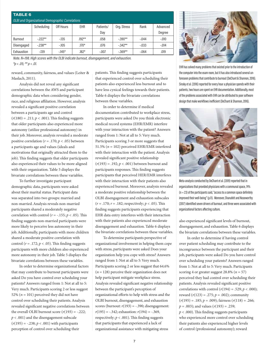| <b>TABLE 6</b>                                          |            |           |            |           |             |         |          |  |  |
|---------------------------------------------------------|------------|-----------|------------|-----------|-------------|---------|----------|--|--|
| <b>OLBI and Organizational Demographic Correlations</b> |            |           |            |           |             |         |          |  |  |
|                                                         | Scheduling | Off Hours | <b>EHR</b> | Patients/ | Org. Stress | Rank    | Advanced |  |  |
|                                                         |            |           |            | Day       |             |         | Degree   |  |  |
| Burnout                                                 | $-.222**$  | $-135$    | $.192**$   | .058      | $-.390**$   | $-.044$ | $-.010$  |  |  |
| Disengaged                                              | $-238**$   | $-105$    | $.170*$    | .076      | $-.342**$   | $-.033$ | $-.014$  |  |  |
| Exhaustion                                              | $-139$     | $-145*$   | $.182*$    | $-.007$   | $-.369**$   | $-064$  | .019     |  |  |

*Note. N=198. High scores with the OLBI indicate burnout, disengagement, and exhaustion. \*p < .05; \*\* p < .01.* 

reward, community, fairness, and values (Leiter & Maslach, 2011).

Analysis did not reveal any significant correlations between the AWS and participant demographic data when considering gender, race, and religious affiliation. However, analysis revealed a significant positive correlation between a participants age and control  $(r(180) = .211; p < .001)$ . This finding suggests that older participants also experienced more autonomy (utilize professional autonomy) in their job. Moreover, analysis revealed a moderate positive correlation ( $r = .170$ ;  $p < .05$ ) between a participants age and values (ideals and motivations that originally attracted them to the job). This finding suggests that older participants also experienced their values to be more aligned with their organization. Table 5 displays the bivariate correlations between these variables.

To further investigate participant demographic data, participants were asked about their marital status. Participant data was separated into two groups: married and non-married. Analysis reveals non-married participants shared a moderately negative correlation with control ( $r = -.155$ ;  $p < .05$ ). This finding suggests non-married participants were more likely to perceive less autonomy in their job. Additionally, participants with more children shared a moderate positive correlation with control ( $r = .172$ ;  $p < .05$ ). This finding suggests participants with more children also experienced more autonomy in their job. Table 5 displays the bivariate correlations between these variables.

In order to determine organizational factors that may contribute to burnout participants were asked Do you have control over scheduling your patients? Answers ranged from 1: Not at all to 5: Very much. Participants scoring 2 or less suggest 52% ( $n = 101$ ) perceived they did not have control over scheduling their patients. Analysis revealed significant negative correlations between the overall OLBI burnout score  $(r(193) = -.222)$ ; *p* < .001) and the disengagement subscale (*r*(195) = -.238; *p* < .001) with participants perception of control over scheduling their

patients. This finding suggests participants that experienced control over scheduling their patients also experienced less burnout and to have less cynical feelings towards their patients. Table 6 displays the bivariate correlations between these variables.

In order to determine if medical documentation contributed to workplace stress, participants were asked Do you think electronic medical record systems (EHR/EMR) interfere with your interaction with the patient? Answers ranged from 1: Not at all to 5: Very much. Participants scoring 3 or more suggests that 51.5% (*n* = 102) perceived EHR/EMR interfered with their interaction with the patient. Analysis revealed significant positive relationship (*r*(193) = .192; *p* < .001) between burnout and participants responses. This finding suggests participants that perceived HER/EMR interferes with their interaction with their patients also experienced burnout. Moreover, analysis revealed a moderate positive relationship between the OLBI disengagement and exhaustion subscales (*r* = .170; *r* = .182; respectively; *p* < .05). This finding suggests participants experiencing that EHR data entry interferes with their interaction with their patients also experienced moderate disengagement and exhaustion. Table 6 displays the bivariate correlations between these variables.

To determine participants perspective of organizational involvement in helping them cope with stress, participants were asked Does your organization help you cope with stress? Answers ranged from 1: Not at all to 5: Very much. Participants scoring 2 or less suggest that 64.6% (*n* = 128) perceive their organization does not help participant mitigate workplace stress. Analysis revealed significant negative relationship between the participant's perception of organizational efforts to help with stress and the OLBI burnout, disengagement, and exhaustion scores (burnout:  $r(193) = -.390$ ; disengagement:  $r(195) = -.342$ ; exhaustion:  $r(194) = -.369$ , respectively;  $p < .001$ ). This finding suggests that participants that experienced a lack of organizational assistance with mitigating stress



EHR has solved many problems that existed prior to the introduction of the computer into the exam room, but it has also introduced several unforeseen problems that contribute to burnout (DeChant & Shannon, 2016). Sinsky et al. (2016) reported for every hour a physician spends with their patients, two hours are spent on EHR documentation. Additionally, most of the problems associated with EHR can be attributed to poor software design that make workflows inefficient (DeChant & Shannon, 2016).



Meta-analysis conducted by DeChant et al. (2019) reported that in organizations that provided physicians with a communal space, 74%  $(n = 23)$  of the participants said, "access to a common space definitely improved their well-being" (p.11). Moreover, Shanafelt and Noseworthy (2017) identified seven drivers of burnout, and three were associated with organizational factors affecting culture.

also experienced significant levels of burnout, disengagement, and exhaustion. Table 6 displays the bivariate correlations between these variables.

In order to determine if having control over patient scheduling may contribute to the incongruence between the participant and their job, participants were asked Do you have control over scheduling your patients? Answers ranged from 1: Not at all to 5: Very much. Participants scoring 4 or greater suggest  $28.8\%$  ( $n = 57$ ) perceived they had control over scheduling their patients. Analysis revealed significant positive correlations with control  $(r(194) = .529; p < .000);$ reward  $(r(123) = .275; p = .002)$ ; community (*r*(195) = .185; *p* = .009); fairness (*r*(118) = .266; *p* = .003); and values (*r*(193) = .259; *p* < .000). This finding suggests participants who experienced more control over scheduling their patients also experienced higher levels of control (professional autonomy); reward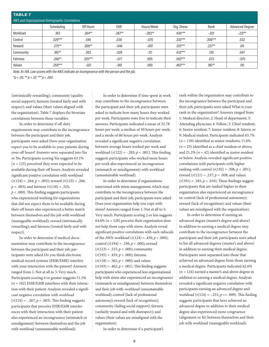| <b>TABLE 7</b><br>AWS and Organizational Demographic Correlations |            |           |            |            |             |           |                        |  |  |
|-------------------------------------------------------------------|------------|-----------|------------|------------|-------------|-----------|------------------------|--|--|
|                                                                   | Scheduling | Off Hours | <b>EHR</b> | Hours/Week | Org. Stress | Rank      | <b>Advanced Degree</b> |  |  |
| Workload                                                          | .163       | $.264**$  | $-0.267**$ | $-283**$   | $.430***$   | $-.021$   | $-.231**$              |  |  |
| Control                                                           | .529***    | .045      | .038       | $-0.076$   | $.330***$   | $.308***$ | .032                   |  |  |
| Reward                                                            | $.275***$  | $.266**$  | $-0.046$   | $-.097$    | $.515***$   | $.237**$  | .011                   |  |  |
| Community                                                         | .185**     | .052      | $-0.028$   | $-117$     | $.433***$   | .130      | .047                   |  |  |
| <b>Fairness</b>                                                   | $.266**$   | $.325***$ | $-.077$    | .005       | $.562***$   | .073      | $-.075$                |  |  |
| Values                                                            | .259***    | $-.021$   | $-.061$    | .069       | .462***     | .185**    | .110                   |  |  |

*Note. N=198. Low scores with the AWS indicate an incongruence with the person and the job.*

*\*p < .05; \*\* p < .01; \*\*\* p < .000*

(intrinsically rewarding); community (quality social support); fairness (treated fairly and with respect); and values (their values aligned with the organization). Table 7 displays the bivariate correlations between these variables.

In order to determine if off-duty requirements may contribute to the incongruence between the participant and their job, participants were asked Does your organization expect you to be available to your patients during your off hours? Answers were separated into Yes or No. Participants scoring Yes suggests 63.1%  $(n = 125)$  perceived they were expected to be available during their off hours. Analysis revealed significant positive correlation with workload (*r*(124) = .264; *p* = .003); reward (*r*(123) = .266; *p* = .003); and fairness (*r*(118) = .325; *p* < .000). This finding suggests participants who experienced working for organizations that did not expect them to be available during their off hours also experienced a better match between themselves and the job with workload (manageable workload); reward (intrinsically rewarding); and fairness (treated fairly and with respect).

In order to determine if medical documentation may contribute to the incongruence between the participant and their job, participants were asked Do you think electronic medical record systems (EHR/EMR) interfere with your interaction with the patient? Answers ranged from 1: Not at all to 5: Very much. Participants scoring 4 or greater suggests 51.5%  $(n = 102)$  EHR/EMR interferes with their interaction with their patient. Analysis revealed a significant negative correlation with workload  $(r(124) = -.267; p = .003)$ . This finding suggests participants that perceive EHR/EMR interferences with their interaction with their patient also experienced an incongruence (mismatch or misalignment) between themselves and the job with workload (unsustainable workload).

In order to determine if time spent at work may contribute to the incongruence between the participant and their job, participants were asked to indicate how many hours they worked per week. Participants were free to indicate their answers. Participants indicated a mean of 52.78 hours per week; a median of 50 hours per week; and a mode of 60 hours per week. Analysis revealed a significant negative correlation between average hours worked per week and workload (*r*(122) = -.283; *p* < .001). This finding suggests participants who worked more hours per week also experienced an incongruence (mismatch or misalignment) with workload (unsustainable workload).

In order to determine if organizations intervened with stress management, which may contribute to the incongruence between the participant and their job, participants were asked Does your organization help you cope with stress? Answers ranged from 1: Not at all to 5: Very much. Participants scoring 2 or less suggests 64.6% ( $n = 128$ ) perceive their organization does not help them cope with stress. Analysis reveal significant positive correlations with each subscale of the AWS: workload (*r*(124) = .430; *p* < .000); control (*r*(194) = .330; *p* < .000); reward  $(r(123) = .515; p < .000)$ ; community (*r*(195) = .433; *p* < .000); fairness  $(r(118) = .562; p < .000)$ ; and values  $(r(193) = .462; p < .001)$ . This finding suggests participants who experienced less organizational help with stress also experienced an incongruence (mismatch or misalignment) between themselves and their job with: workload (unsustainable workload); control (lack of professional autonomy); reward (lack of recognition); community (failing social support); fairness (unfairly treated and with disrespect); and values (their values are misaligned with the organization).

In order to determine if a participant's

rank within the organization may contribute to the incongruence between the participant and their job, participants were asked What is your rank in the organization? Answers ranged from 1: Medical director; 2: Head of department; 3: Attending physician; 4: Fellow; 5: Chief resident; 6: Senior resident; 7: Junior resident; 8: Intern; or 9: Medical student. Participants indicated 65.7%  $(n = 130)$  identified as senior residents; 11.6%  $(n = 23)$  identified as a chief resident or above; and  $21.2\%$  ( $n = 42$ ) identified as junior resident or below. Analysis revealed significant positive correlations with participants with higher ranking with control  $(r(192) = .308; p < .001)$ ; reward (*r*(121) = .237; *p* = .008; and values  $(r(191) = .185; p = .010)$ . These findings suggest participants that are ranked higher in their organization also experienced an incongruence in: control (lack of professional autonomy); reward (lack of recognition); and values (their values are misaligned with the organization).

In order to determine if earning an advanced degree (master's degree and above) in addition to earning a medical degree may contribute to the incongruence between the participant and their job, participants were asked to list all advanced degrees (master's and above) in addition to earning their medical degree. Participants were separated into those that achieved an advanced degree from those earning a medical degree. Participants indicated 62.6%  $(n = 124)$  earned a master's and above degree in addition to earning a medical degree. Analysis revealed a significant negative correlation with participants earning an advanced degree and workload (*r*(124) = -.231; *p* <= .009). This finding suggests participants that have achieved an advanced degree in addition to their medical degree also experienced more congruence (alignment or fit) between themselves and their job with workload (manageable workload).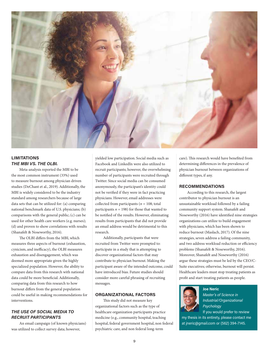

## **LIMITATIONS** *THE MBI VS. THE OLBI.*

Meta-analysis reported the MBI to be the most common instrument (33%) used to measure burnout among physician driven studies (DeChant et al., 2019). Additionally, the MBI is widely considered to be the industry standard among researchers because of large data sets that can be utilized for: (a) comparing national benchmark data of U.S. physicians; (b) comparisons with the general public; (c) can be used for other health care workers (e.g. nurses); (d) and proven to show correlations with results (Shanafelt & Noseworthy, 2016).

The OLBI differs from the MBI, which measures three aspects of burnout (exhaustion, cynicism, and inefficacy), the OLBI measures exhaustion and disengagement, which was deemed more appropriate given the highly specialized population. However, the ability to compare data from this research with national data could be more beneficial. Additionally, comparing data from this research to how burnout differs from the general population could be useful in making recommendations for interventions.

## *THE USE OF SOCIAL MEDIA TO RECRUIT PARTICIPANTS*

An email campaign (of known physicians) was utilized to collect survey data; however,

yielded low participation. Social media such as Facebook and LinkedIn were also utilized to recruit participants; however, the overwhelming number of participants were recruited through Twitter. Since social media can be consumed anonymously, the participant's identity could not be verified if they were in fact practicing physicians. However, email addresses were collected from participants (*n* = 108; total participants  $n = 198$ ) for those that wanted to be notified of the results. However, eliminating results from participants that did not provide an email address would be detrimental to this research.

Additionally, participants that were recruited from Twitter were prompted to: participate in a study that is attempting to discover organizational factors that may contribute to physician burnout. Making the participant aware of the intended outcome, could have introduced bias. Future studies should consider more careful phrasing of recruiting messages.

## **ORGANIZATIONAL FACTORS**

This study did not measure key organizational factors such as the type of healthcare organization participants practice medicine (e.g., community hospital, teaching hospital, federal government hospital, non federal psychiatric care, and non federal long-term

care). This research would have benefited from determining differences in the prevalence of physician burnout between organizations of different types, if any.

#### **RECOMMENDATIONS**

According to this research, the largest contributor to physician burnout is an unsustainable workload followed by a failing community support system. Shanafelt and Noseworthy (2016) have identified nine strategies organizations can utilize to build engagement with physicians, which has been shown to reduce burnout (Maslach, 2017). Of the nine strategies, seven address a failing community, and two address workload reduction or efficiency problems (Shanafelt & Noseworthy, 2016). Moreover, Shanafelt and Noseworthy (2016) argue these strategies must be led by the CEO/C-Suite executives; otherwise, burnout will persist. Healthcare leaders must stop treating patients as profit and start treating patients as people.



**Joe Neric** *Master's of Science in Industrial/Organizational Psychology*

If you would prefer to review

my thesis in its entirety, please contact me at jneric@gmail.com or (562) 394-7145.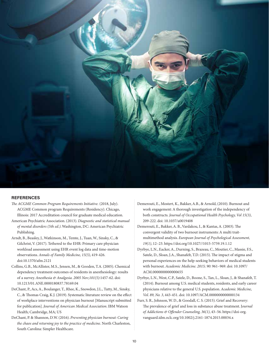

#### **REFERENCES**

- *The ACGME Common Program Requirements Initiative.* (2018, July). ACGME Common program Requirements (Residency). Chicago, Illinois: 2017 Accreditation council for graduate medical education.
- American Psychiatric Association. (2013). *Diagnostic and statistical manual of mental disorders (5th ed.)*. Washington, DC: American Psychiatric Publishing.
- Arndt, B., Beasley, J., Watkinson, M., Temte, J., Tuan, W., Sinsky, C., & Gilchrist, V. (2017). Tethered to the EHR: Primary care physician workload assessment using EHR event log data and time-motion observations. *Annals of Family Medicine, 15(5)*, 419-426. doi:10.1370/afm.2121
- Collins, G.B., McAllister, M.S., Jensen, M., & Gooden, T.A. (2005). Chemical dependency treatment outcomes of residents in anesthesiology: results of a survey. *Anesthesia & Analgesia. 2005 Nov;101(5)*:1457-62. doi: 10.1213/01.ANE.0000180837.78169.04
- DeChant, P., Acs, A., Boulanger, T., Rhee, K., Snowdon, J.L., Tutty, M., Sinsky, C., & Thomas Craig, K.J. (2019). Systematic literature review on the effect of workplace interventions on physician burnout [Manuscript submitted for publication]. *Journal of American Medical Association*. IBM Watson Health; Cambridge, MA; US
- DeChant, P. & Shannon, D.W. (2016). *Preventing physician burnout: Curing the chaos and returning joy to the practice of medicine*. North Charleston, South Carolina: Simpler Healthcare.
- Demerouti, E., Mostert, K., Bakker, A.B., & Arnold, (2010). Burnout and work engagement: A thorough investigation of the independency of both constructs. *Journal of Occupational Health Psychology, Vol 15(3)*, 209-222. doi: 10.1037/a0019408
- Demerouti, E., Bakker, A. B., Vardakou, I., & Kantas, A. (2003). The convergent validity of two burnout instruments: A multi traitmultimethod analysis. *European Journal of Psychological Assessment, 19(1)*, 12–23. https://doi.org/10.1027//1015-5759.19.1.12
- Dyrbye, L.N., Eacker, A., Durning, S., Brazeau, C., Moutier, C., Massie, F.S., Satele, D., Sloan, J.A., Shanafelt, T.D. (2015). The impact of stigma and personal experiences on the help-seeking behaviors of medical students with burnout. *Academic Medicine. 2015; 90*: 961–969. doi: 10.1097/ ACM.0000000000000655
- Dyrbye, L.N., West, C.P., Satele, D., Boone, S., Tan, L., Sloan, J., & Shanafelt, T. (2014). Burnout among U.S. medical students, residents, and early career physicians relative to the general U.S. population. *Academic Medicine, Vol. 89, No. 3*, 443-451. doi: 10.1097/ACM.0000000000000134
- Furr, S. R., Johnson, W. D., & Goodall, C. S. (2015). Grief and Recovery: The prevalence of grief and loss in substance abuse treatment. J*ournal of Addictions & Offender Counseling, 36(1)*, 43–56. https://doi-org. vanguard.idm.oclc.org/10.1002/j.2161-1874.2015.00034.x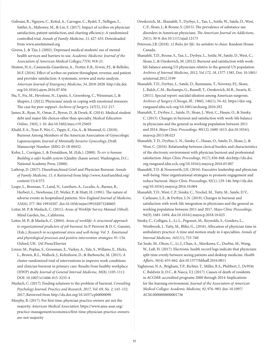Gidwani, R., Nguyen, C., Kofed, A., Carragee, C., Rydel, T., Nelligan, I., Sattler, A., Mahoney, M., & Lin, S. (2017). Impact of scribes on physician satisfaction, patient satisfaction, and charting efficiency: A randomized controlled trial. *Annals of Family Medicine, 15*, 427-433. Downloaded from www.annfammed.org

Givens, J., & Tjia, J. (2002). Depressed medical students' use of mental health services and barriers to use. *Academic Medicine: Journal of the Association of American Medical Colleges,77(9)*, 918-21.

Heaton, H.A., Castaneda-Guarderas, A., Trotter, E.R., Erwin, P.J., & Bellolio, M.F. (2016). Effect of scribes on patient throughput, revenue, and patient and provider satisfaction: A systematic review and meta-analysis. *American Journal of Emergency Medicine, 34*, 2018-2028. http://dx.doi. org/10.1016/j.ajem.2016.07.056

Hu, Y., Fix, M., Hevelone, N., Lipsitz, S., Greenberg, C., Weissman, J., & Shapiro, J. (2012). Physicians' needs in coping with emotional stressors: The case for peer support. *Archives of Surgery, 147(3)*, 212-217.

James, R., Ryan, N., Omar, Z., Byron, D., & Derek, K. (2014). Medical student debt and major life choices other than specialty. *Medical Education Online, 19(0*), 1-10. doi:10.3402/meo.v19.25603

Khalil, E.A., Tyan P., Wei, C., Tappy, E., Gu, A., & Moawad, G. (2018). Burnout Among Members of the American Association of Gynecologic Laparoscopists. *Journal of Minimally Invasive Gynecology*, Draft. Manuscript Number: JMIG-D-18-00432.

Kohn, L., Corrigan, J., & Donaldson, M. (Eds.). (2000). *To err is human: Building a safer health system* (Quality chasm series). Washington, D.C.: National Academy Press. (2000).

Lathrop, D. (2017). Disenfranchised Grief and Physician Burnout. *Annals of Family Medicine, 15, 4*. Retrieved from http://www.AnnFamMed.org/ content/15/4/375.

Leape, L., Brennan, T., Laird, N., Lawthers, A., Localio, A., Barnes, B., Herbert, L., Newhouse, J.P., Weiler, P., & Hiatt, H. (1991). The nature of adverse events in hospitalized patients. *New England Journal of Medicine, 324(6)*, 377-384 19910207. doi:10.1056/nejm199102073240605

Leiter, M. P. & Maslach, C. (2011). *Areas of Worklife Survey Manual (5thed)*. Mind Garden, Inc., California.

Leiter, M. P., & Maslach, C. (2004). *Areas of worklife: A structured approach to organizational predictors of job burnout*. In P. Perrewé & D. C. Ganster, (Eds.), *Research in occupational stress and well-being: Vol. 3. Emotional and physiological processes and positive intervention strategies*: 91-134. Oxford, UK: JAI Press/Elsevier

Linzer, M., Poplau, S., Grossman, E., Varkey, A., Yale, S., Willams, E., Hicks, L., Brown, R.L., Wallock, J., Kohnhorst, D., & Barbouche, M. (2015). A cluster randomized trial of interventions to improve work conditions and clinician burnout in primary care: Results from healthy workplace (HWP) study. *Journal of General Internal Medicine, 30(8)*, 1105-1111. DOI: 10.1007/s11606-015-3235-4

Maslach, C. (2017). Finding solutions to the problem of burnout. *Consulting Psychology Journal: Practice and Research, 2017, Vol. 69, No. 2*, 143–152. 2017, Retrieved from http://dx.doi.org/10.1037/cpb0000090

Murphy, B. (2017). For first time, physician practice owners are not the majority. *American Medical Association*. https://www.ama-assn.org/ practice-management/economics/first-time-physician-practice-ownersare-not-majority

Oreskovich, M., Shanafelt, T., Dyrbye, L., Tan, L., Sotile, W., Satele, D., West, C.P., Sloan, J., & Boone, S. (2015). The prevalence of substance use disorders in American physicians. *The American Journal on Addictions, 24(1)*, 30-8. doi:10.1111/ajad.12173

Peterson, J.B. (2018). *12 Rules for life: An antidote to chaos*. Random House Canada.

Shanafelt, T.D., Boone, S., Tan, L., Dyrbye, L., Sotile, W., Satele, D., West, C., Sloan, J., & Oreskovich, M. (2012). Burnout and satisfaction with worklife balance among US physicians relative to the general US population. *Archives of Internal Medicine, 2012, Vol 172, 18*, 1377-1385. Doi: 10.1001/ arinternal.2012.3199

Shanafelt, T.D., Dyrbye, L., Satele, D., Rummans, T., Novotny, P.J., Sloan, J., Balch, C.M., Bechamps, G., Russell, T., Oreskovich, M.R., Swartz, K. (2011). Special report: suicidal ideation among American surgeons. *Archives of Surgery (Chicago, Ill.: 1960), 146(1)*, 54–62. https://doi-org. vanguard.idm.oclc.org/10.1001/archsurg.2010.292

Shanafelt, T., Dyrbye, L., Satele, D., Sloan, J., West, C., Hasan, O., & Sinsky, C. (2015). Changes in burnout and satisfaction with work-life balance in physicians and the general us working population between 2011 and 2014. *Mayo Clinic Proceedings, 90(12)*, 1600-1613. doi:10.1016/j. mayocp.2015.08.023

Shanafelt, T. D., Dyrbye, L. N., Sinsky, C., Hasan, O., Satele, D., Sloan, J., & West, C. (2016). Relationship between clerical burden and characteristics of the electronic environment with physician burnout and professional satisfaction. *Mayo Clinic Proceedings, 91(7)*, 836-848. doi:http://dx.doi. org.vanguard.idm.oclc.org/10.1016/j.mayocp.2016.05.007

Shanafelt, T.D. & Noseworth, J.H. (2016). Executive leadership and physician well-being: Nine organizational strategies to promote engagement and reduce burnout. *Mayo Clinic Proceedings, 92(1)*, 129-146. http://dx.doi. org/10.1016/j.mayocp.2016.10.004

Shanafelt, T.D., West, C.P., Sinsky, C., Trockel, M., Tutty, M., Satele, D.V., Carlasare, L.E., & Dyrbye, L.N. (2019). Changes in burnout and satisfaction with work-life integration in physicians and the general us working population between 2011 and 2017. *Mayo Clinic Proceedings, 94(9)*, 1681-1694. doi:10.1016/j.mayocp.2018.10.023

Sinsky, C., Colligan, L., Li, L., Prgomet, M., Reynolds, S., Goeders, L., Westbrook, J., Tutty, M., Blike, G., (2016). Allocation of physician time in ambulatory practice: A time and motion study in 4 specialties. *Annals of Internal Medicine, 165(11)*, 753-760

Tai-Seale, M., Olson, C., Li, J., Chan, A., Morikawa, C., Durbin, M., Wang, W., Luft, H. (2017). Electronic health record logs indicate that physicians split time evenly between seeing patients and desktop medicine. *Health Affairs, 36(4)*, 655-662. doi:10.1377/hlthaff.2016.0811

Yaghmour, N.A., Brigham, T.P., Richter, T., Miller, R.S., Philibert, I., DeWitt C. Baldwin Jr, D.C., & Nasca, T.J. (2017). Causes of death of residents in ACGME-accredited programs 2000 through 2014: Implications for the learning environment. *Journal of the Association of American Medical Colleges: Academic Medicine, 92*, 976–983. doi: 10.1097/ ACM.0000000000001736